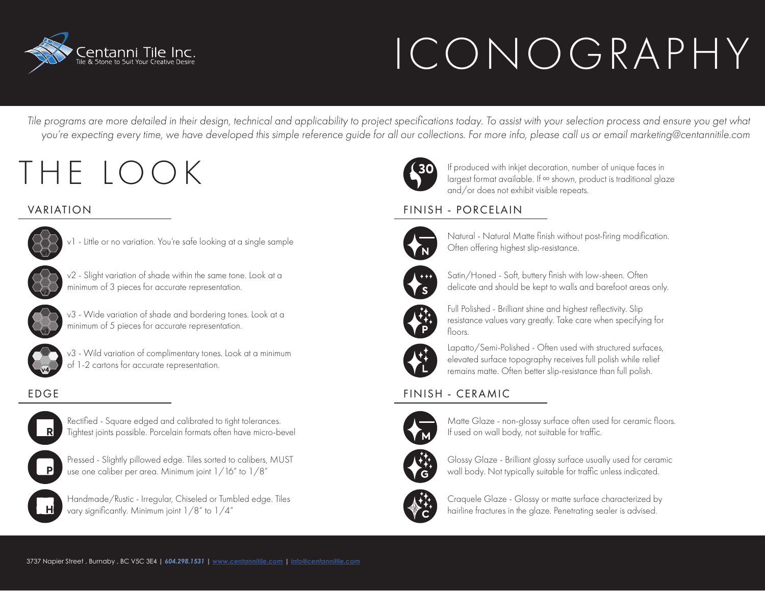

# ICONOGRAPHY

*Tile programs are more detailed in their design, technical and applicability to project specifications today. To assist with your selection process and ensure you get what you're expecting every time, we have developed this simple reference guide for all our collections. For more info, please call us or email marketing@centannitile.com*

## THE LOOK



v1 - Little or no variation. You're safe looking at a single sample



v2 - Slight variation of shade within the same tone. Look at a minimum of 3 pieces for accurate representation.



v3 - Wide variation of shade and bordering tones. Look at a minimum of 5 pieces for accurate representation.



v3 - Wild variation of complimentary tones. Look at a minimum of 1-2 cartons for accurate representation.



Rectified - Square edged and calibrated to tight tolerances. Tightest joints possible. Porcelain formats often have micro-bevel



Pressed - Slightly pillowed edge. Tiles sorted to calibers, MUST use one caliber per area. Minimum joint 1/16" to 1/8"



Handmade/Rustic - Irregular, Chiseled or Tumbled edge. Tiles vary significantly. Minimum joint 1/8" to 1/4"



If produced with inkjet decoration, number of unique faces in largest format available. If ∞ shown, product is traditional glaze and/or does not exhibit visible repeats.

### VARIATION FINISH - PORCELAIN



Natural - Natural Matte finish without post-firing modification. Often offering highest slip-resistance.



Satin/Honed - Soft, buttery finish with low-sheen. Often delicate and should be kept to walls and barefoot areas only.



Full Polished - Brilliant shine and highest reflectivity. Slip resistance values vary greatly. Take care when specifying for floors.



Lapatto/Semi-Polished - Often used with structured surfaces, elevated surface topography receives full polish while relief remains matte. Often better slip-resistance than full polish.

### EDGE FINISH - CERAMIC



Matte Glaze - non-glossy surface often used for ceramic floors. If used on wall body, not suitable for traffic.



Glossy Glaze - Brilliant glossy surface usually used for ceramic wall body. Not typically suitable for traffic unless indicated.



Craquele Glaze - Glossy or matte surface characterized by hairline fractures in the glaze. Penetrating sealer is advised.